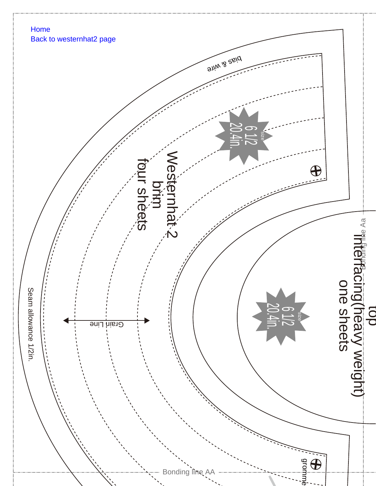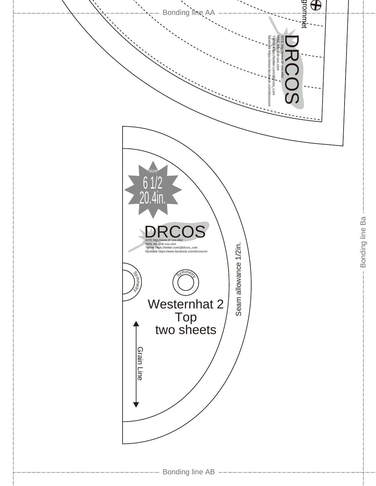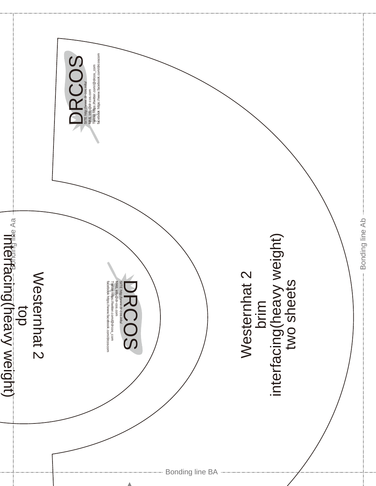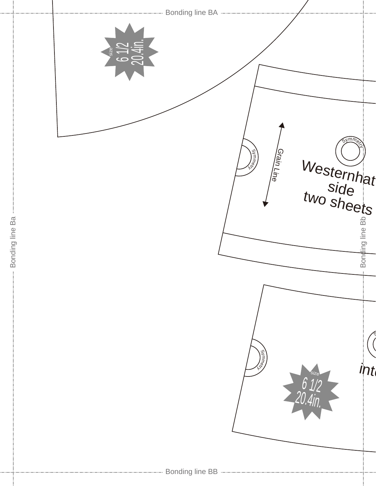